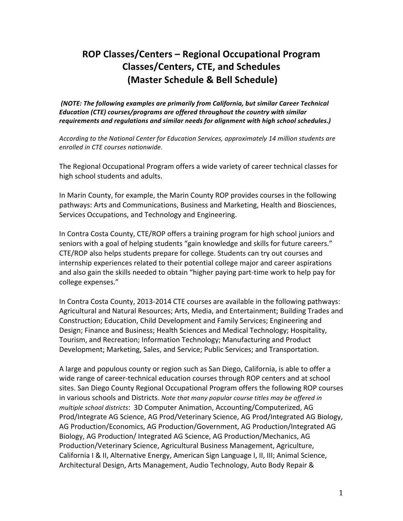# **ROP\$Classes/Centers – Regional\$Occupational\$Program\$ Classes/Centers,\$CTE,\$and\$Schedules (Master Schedule & Bell Schedule)**

*(NOTE: The following examples are primarily from California, but similar Career Technical Education (CTE) courses/programs are offered throughout the country with similar* requirements and regulations and similar needs for alignment with high school schedules.)

According to the National Center for Education Services, approximately 14 million students are *enrolled in CTE courses nationwide.* 

The Regional Occupational Program offers a wide variety of career technical classes for high school students and adults.

In Marin County, for example, the Marin County ROP provides courses in the following pathways: Arts and Communications, Business and Marketing, Health and Biosciences, Services Occupations, and Technology and Engineering.

In Contra Costa County, CTE/ROP offers a training program for high school juniors and seniors with a goal of helping students "gain knowledge and skills for future careers." CTE/ROP also helps students prepare for college. Students can try out courses and internship experiences related to their potential college major and career aspirations and also gain the skills needed to obtain "higher paying part-time work to help pay for college expenses."

In Contra Costa County, 2013-2014 CTE courses are available in the following pathways: Agricultural and Natural Resources; Arts, Media, and Entertainment; Building Trades and Construction; Education, Child Development and Family Services; Engineering and Design; Finance and Business; Health Sciences and Medical Technology; Hospitality, Tourism, and Recreation; Information Technology; Manufacturing and Product Development; Marketing, Sales, and Service; Public Services; and Transportation.

A large and populous county or region such as San Diego, California, is able to offer a wide range of career-technical education courses through ROP centers and at school sites. San Diego County Regional Occupational Program offers the following ROP courses in various schools and Districts. Note that many popular course titles may be offered in *multiple school districts*: 3D Computer Animation, Accounting/Computerized, AG Prod/Integrate AG Science, AG Prod/Veterinary Science, AG Prod/Integrated AG Biology, AG Production/Economics, AG Production/Government, AG Production/Integrated AG Biology, AG Production/ Integrated AG Science, AG Production/Mechanics, AG Production/Veterinary Science, Agricultural Business Management, Agriculture, California I & II, Alternative Energy, American Sign Language I, II, III; Animal Science, Architectural Design, Arts Management, Audio Technology, Auto Body Repair &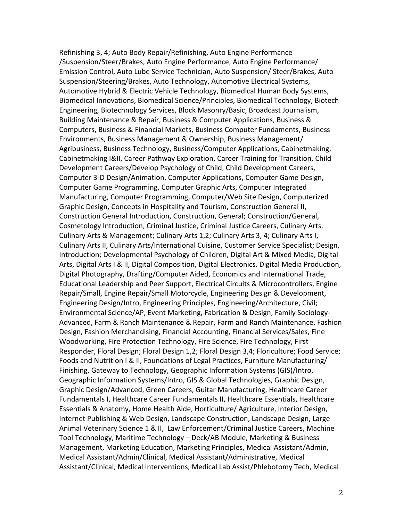Refinishing 3, 4; Auto Body Repair/Refinishing, Auto Engine Performance /Suspension/Steer/Brakes, Auto Engine Performance, Auto Engine Performance/ Emission Control, Auto Lube Service Technician, Auto Suspension/ Steer/Brakes, Auto Suspension/Steering/Brakes, Auto Technology, Automotive Electrical Systems, Automotive Hybrid & Electric Vehicle Technology, Biomedical Human Body Systems, Biomedical Innovations, Biomedical Science/Principles, Biomedical Technology, Biotech Engineering, Biotechnology Services, Block Masonry/Basic, Broadcast Journalism, Building Maintenance & Repair, Business & Computer Applications, Business & Computers, Business & Financial Markets, Business Computer Fundaments, Business Environments, Business Management & Ownership, Business Management/ Agribusiness, Business Technology, Business/Computer Applications, Cabinetmaking, Cabinetmaking I&II, Career Pathway Exploration, Career Training for Transition, Child Development Careers/Develop Psychology of Child, Child Development Careers, Computer 3-D Design/Animation, Computer Applications, Computer Game Design, Computer Game Programming, Computer Graphic Arts, Computer Integrated Manufacturing, Computer Programming, Computer/Web Site Design, Computerized Graphic Design, Concepts in Hospitality and Tourism, Construction General II, Construction General Introduction, Construction, General; Construction/General, Cosmetology Introduction, Criminal Justice, Criminal Justice Careers, Culinary Arts, Culinary Arts & Management; Culinary Arts 1,2; Culinary Arts 3, 4; Culinary Arts I, Culinary Arts II, Culinary Arts/International Cuisine, Customer Service Specialist; Design, Introduction; Developmental Psychology of Children, Digital Art & Mixed Media, Digital Arts, Digital Arts I & II, Digital Composition, Digital Electronics, Digital Media Production, Digital Photography, Drafting/Computer Aided, Economics and International Trade, Educational Leadership and Peer Support, Electrical Circuits & Microcontrollers, Engine Repair/Small, Engine Repair/Small Motorcycle, Engineering Design & Development, Engineering Design/Intro, Engineering Principles, Engineering/Architecture, Civil; Environmental Science/AP, Event Marketing, Fabrication & Design, Family Sociology-Advanced, Farm & Ranch Maintenance & Repair, Farm and Ranch Maintenance, Fashion Design, Fashion Merchandising, Financial Accounting, Financial Services/Sales, Fine Woodworking, Fire Protection Technology, Fire Science, Fire Technology, First Responder, Floral Design; Floral Design 1,2; Floral Design 3,4; Floriculture; Food Service; Foods and Nutrition I & II, Foundations of Legal Practices, Furniture Manufacturing/ Finishing, Gateway to Technology, Geographic Information Systems (GIS)/Intro, Geographic Information Systems/Intro, GIS & Global Technologies, Graphic Design, Graphic Design/Advanced, Green Careers, Guitar Manufacturing, Healthcare Career Fundamentals I, Healthcare Career Fundamentals II, Healthcare Essentials, Healthcare Essentials & Anatomy, Home Health Aide, Horticulture/ Agriculture, Interior Design, Internet Publishing & Web Design, Landscape Construction, Landscape Design, Large Animal Veterinary Science 1 & II, Law Enforcement/Criminal Justice Careers, Machine Tool Technology, Maritime Technology – Deck/AB Module, Marketing & Business Management, Marketing Education, Marketing Principles, Medical Assistant/Admin, Medical Assistant/Admin/Clinical, Medical Assistant/Administrative, Medical Assistant/Clinical, Medical Interventions, Medical Lab Assist/Phlebotomy Tech, Medical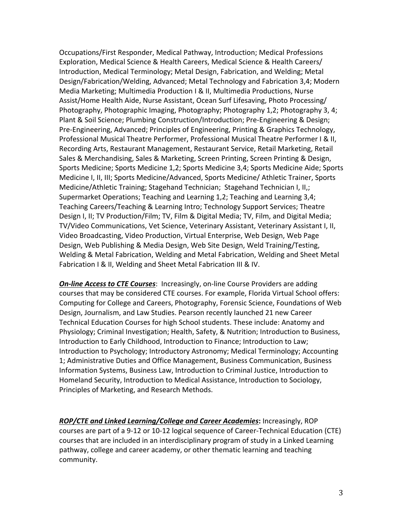Occupations/First Responder, Medical Pathway, Introduction; Medical Professions Exploration, Medical Science & Health Careers, Medical Science & Health Careers/ Introduction, Medical Terminology; Metal Design, Fabrication, and Welding; Metal Design/Fabrication/Welding, Advanced; Metal Technology and Fabrication 3,4; Modern Media Marketing; Multimedia Production I & II, Multimedia Productions, Nurse Assist/Home Health Aide, Nurse Assistant, Ocean Surf Lifesaving, Photo Processing/ Photography, Photographic Imaging, Photography; Photography 1,2; Photography 3, 4; Plant & Soil Science; Plumbing Construction/Introduction; Pre-Engineering & Design; Pre-Engineering, Advanced; Principles of Engineering, Printing & Graphics Technology, Professional Musical Theatre Performer, Professional Musical Theatre Performer I & II, Recording Arts, Restaurant Management, Restaurant Service, Retail Marketing, Retail Sales & Merchandising, Sales & Marketing, Screen Printing, Screen Printing & Design, Sports Medicine; Sports Medicine 1,2; Sports Medicine 3,4; Sports Medicine Aide; Sports Medicine I, II, III; Sports Medicine/Advanced, Sports Medicine/ Athletic Trainer, Sports Medicine/Athletic Training; Stagehand Technician; Stagehand Technician I, II,; Supermarket Operations; Teaching and Learning 1,2; Teaching and Learning 3,4; Teaching Careers/Teaching & Learning Intro; Technology Support Services; Theatre Design I, II; TV Production/Film; TV, Film & Digital Media; TV, Film, and Digital Media; TV/Video Communications, Vet Science, Veterinary Assistant, Veterinary Assistant I, II, Video Broadcasting, Video Production, Virtual Enterprise, Web Design, Web Page Design, Web Publishing & Media Design, Web Site Design, Weld Training/Testing, Welding & Metal Fabrication, Welding and Metal Fabrication, Welding and Sheet Metal Fabrication I & II, Welding and Sheet Metal Fabrication III & IV.

**On-line Access to CTE Courses:** Increasingly, on-line Course Providers are adding courses that may be considered CTE courses. For example, Florida Virtual School offers: Computing for College and Careers, Photography, Forensic Science, Foundations of Web Design, Journalism, and Law Studies. Pearson recently launched 21 new Career Technical Education Courses for high School students. These include: Anatomy and Physiology; Criminal Investigation; Health, Safety, & Nutrition; Introduction to Business, Introduction to Early Childhood, Introduction to Finance; Introduction to Law; Introduction to Psychology; Introductory Astronomy; Medical Terminology; Accounting 1; Administrative Duties and Office Management, Business Communication, Business Information Systems, Business Law, Introduction to Criminal Justice, Introduction to Homeland Security, Introduction to Medical Assistance, Introduction to Sociology, Principles of Marketing, and Research Methods.

*ROP/CTE and Linked Learning/College and Career Academies: Increasingly, ROP* courses are part of a 9-12 or 10-12 logical sequence of Career-Technical Education (CTE) courses that are included in an interdisciplinary program of study in a Linked Learning pathway, college and career academy, or other thematic learning and teaching community.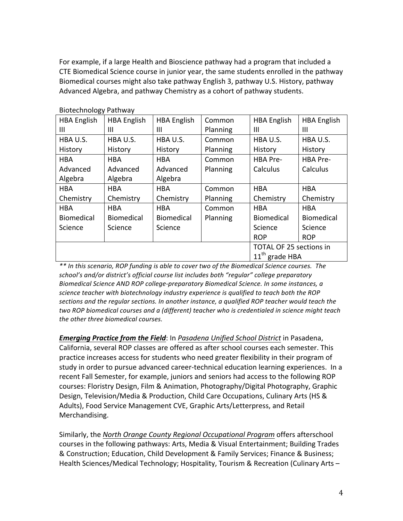For example, if a large Health and Bioscience pathway had a program that included a CTE Biomedical Science course in junior year, the same students enrolled in the pathway Biomedical courses might also take pathway English 3, pathway U.S. History, pathway Advanced Algebra, and pathway Chemistry as a cohort of pathway students.

| <b>HBA English</b>  | <b>HBA English</b>             | Common   | <b>HBA English</b> | <b>HBA English</b> |
|---------------------|--------------------------------|----------|--------------------|--------------------|
|                     | Ш                              | Planning | Ш                  | Ш                  |
| HBA U.S.            | HBA U.S.                       | Common   | HBA U.S.           | HBA U.S.           |
| History             | History                        | Planning | History            | History            |
| <b>HBA</b>          | <b>HBA</b>                     | Common   | <b>HBA Pre-</b>    | HBA Pre-           |
| Advanced            | Advanced                       | Planning | Calculus           | Calculus           |
| Algebra             | Algebra                        |          |                    |                    |
| <b>HBA</b>          | <b>HBA</b>                     | Common   | <b>HBA</b>         | <b>HBA</b>         |
| Chemistry           | Chemistry                      | Planning | Chemistry          | Chemistry          |
| <b>HBA</b>          | <b>HBA</b>                     | Common   | <b>HBA</b>         | <b>HBA</b>         |
| <b>Biomedical</b>   | <b>Biomedical</b>              | Planning | <b>Biomedical</b>  | <b>Biomedical</b>  |
| Science             | Science                        |          | Science            | Science            |
|                     |                                |          | <b>ROP</b>         | <b>ROP</b>         |
|                     | <b>TOTAL OF 25 sections in</b> |          |                    |                    |
| $11^{th}$ grade HBA |                                |          |                    |                    |
|                     |                                |          |                    |                    |

Biotechnology!Pathway

 $*$ <sup>\*</sup> In this scenario, ROP funding is able to cover two of the Biomedical Science courses. The school's and/or district's official course list includes both "regular" college preparatory Biomedical Science AND ROP college-preparatory Biomedical Science. In some instances, a science teacher with biotechnology industry experience is qualified to teach both the ROP *sections)and)the)regular)sections.)In)another)instance, a)qualified)ROP)teacher)would)teach the) two)ROP)biomedical)courses)and a)(different))teacher)who)is)credentialed)in)science)might)teach) the)other)three)biomedical)courses.)*

*Emerging Practice from the Field: In Pasadena Unified School District in Pasadena,* California, several ROP classes are offered as after school courses each semester. This practice increases access for students who need greater flexibility in their program of study in order to pursue advanced career-technical education learning experiences. In a recent Fall Semester, for example, juniors and seniors had access to the following ROP courses: Floristry Design, Film & Animation, Photography/Digital Photography, Graphic Design, Television/Media & Production, Child Care Occupations, Culinary Arts (HS & Adults), Food Service Management CVE, Graphic Arts/Letterpress, and Retail Merchandising.

Similarly, the *North Orange County Regional Occupational Program* offers afterschool courses in the following pathways: Arts, Media & Visual Entertainment; Building Trades & Construction; Education, Child Development & Family Services; Finance & Business; Health Sciences/Medical Technology; Hospitality, Tourism & Recreation (Culinary Arts –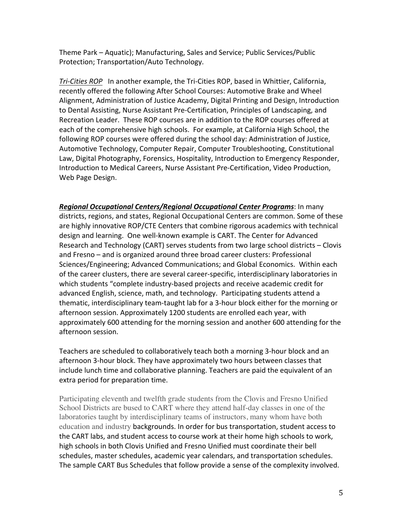Theme Park - Aquatic); Manufacturing, Sales and Service; Public Services/Public Protection; Transportation/Auto Technology.

*Tri-Cities ROP* In another example, the Tri-Cities ROP, based in Whittier, California, recently offered the following After School Courses: Automotive Brake and Wheel Alignment, Administration of Justice Academy, Digital Printing and Design, Introduction to Dental Assisting, Nurse Assistant Pre-Certification, Principles of Landscaping, and Recreation Leader. These ROP courses are in addition to the ROP courses offered at each of the comprehensive high schools. For example, at California High School, the following ROP courses were offered during the school day: Administration of Justice, Automotive Technology, Computer Repair, Computer Troubleshooting, Constitutional Law, Digital Photography, Forensics, Hospitality, Introduction to Emergency Responder, Introduction to Medical Careers, Nurse Assistant Pre-Certification, Video Production, Web Page Design.

**Regional Occupational Centers/Regional Occupational Center Programs: In many** districts, regions, and states, Regional Occupational Centers are common. Some of these are highly innovative ROP/CTE Centers that combine rigorous academics with technical design and learning. One well-known example is CART. The Center for Advanced Research and Technology (CART) serves students from two large school districts – Clovis and Fresno – and is organized around three broad career clusters: Professional Sciences/Engineering; Advanced Communications; and Global Economics. Within each of the career clusters, there are several career-specific, interdisciplinary laboratories in which students "complete industry-based projects and receive academic credit for advanced English, science, math, and technology. Participating students attend a thematic, interdisciplinary team-taught lab for a 3-hour block either for the morning or afternoon session. Approximately 1200 students are enrolled each year, with approximately 600 attending for the morning session and another 600 attending for the afternoon session.

Teachers are scheduled to collaboratively teach both a morning 3-hour block and an afternoon 3-hour block. They have approximately two hours between classes that include lunch time and collaborative planning. Teachers are paid the equivalent of an extra period for preparation time.

Participating eleventh and twelfth grade students from the Clovis and Fresno Unified School Districts are bused to CART where they attend half-day classes in one of the laboratories taught by interdisciplinary teams of instructors, many whom have both education and industry backgrounds. In order for bus transportation, student access to the CART labs, and student access to course work at their home high schools to work, high schools in both Clovis Unified and Fresno Unified must coordinate their bell schedules, master schedules, academic year calendars, and transportation schedules. The sample CART Bus Schedules that follow provide a sense of the complexity involved.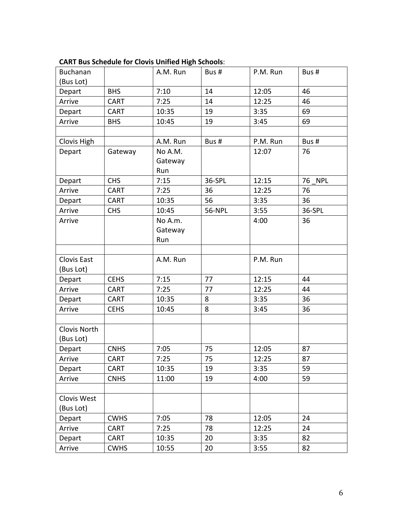| Buchanan           |             | A.M. Run | Bus#   | P.M. Run | Bus#             |
|--------------------|-------------|----------|--------|----------|------------------|
| (Bus Lot)          |             |          |        |          |                  |
| Depart             | <b>BHS</b>  | 7:10     | 14     | 12:05    | 46               |
| Arrive             | <b>CART</b> | 7:25     | 14     | 12:25    | 46               |
| Depart             | <b>CART</b> | 10:35    | 19     | 3:35     | 69               |
| Arrive             | <b>BHS</b>  | 10:45    | 19     | 3:45     | 69               |
|                    |             |          |        |          |                  |
| Clovis High        |             | A.M. Run | Bus #  | P.M. Run | Bus #            |
| Depart             | Gateway     | No A.M.  |        | 12:07    | 76               |
|                    |             | Gateway  |        |          |                  |
|                    |             | Run      |        |          |                  |
| Depart             | <b>CHS</b>  | 7:15     | 36-SPL | 12:15    | <b>NPL</b><br>76 |
| Arrive             | <b>CART</b> | 7:25     | 36     | 12:25    | 76               |
| Depart             | <b>CART</b> | 10:35    | 56     | 3:35     | 36               |
| Arrive             | <b>CHS</b>  | 10:45    | 56-NPL | 3:55     | 36-SPL           |
| Arrive             |             | No A.m.  |        | 4:00     | 36               |
|                    |             | Gateway  |        |          |                  |
|                    |             | Run      |        |          |                  |
|                    |             |          |        |          |                  |
| <b>Clovis East</b> |             | A.M. Run |        | P.M. Run |                  |
| (Bus Lot)          |             |          |        |          |                  |
| Depart             | <b>CEHS</b> | 7:15     | 77     | 12:15    | 44               |
| Arrive             | <b>CART</b> | 7:25     | 77     | 12:25    | 44               |
| Depart             | <b>CART</b> | 10:35    | 8      | 3:35     | 36               |
| Arrive             | <b>CEHS</b> | 10:45    | 8      | 3:45     | 36               |
|                    |             |          |        |          |                  |
| Clovis North       |             |          |        |          |                  |
| (Bus Lot)          |             |          |        |          |                  |
| Depart             | <b>CNHS</b> | 7:05     | 75     | 12:05    | 87               |
| Arrive             | <b>CART</b> | 7:25     | 75     | 12:25    | 87               |
| Depart             | <b>CART</b> | 10:35    | 19     | 3:35     | 59               |
| Arrive             | <b>CNHS</b> | 11:00    | 19     | 4:00     | 59               |
|                    |             |          |        |          |                  |
| Clovis West        |             |          |        |          |                  |
| (Bus Lot)          |             |          |        |          |                  |
| Depart             | <b>CWHS</b> | 7:05     | 78     | 12:05    | 24               |
| Arrive             | CART        | 7:25     | 78     | 12:25    | 24               |
| Depart             | <b>CART</b> | 10:35    | 20     | 3:35     | 82               |
| Arrive             | <b>CWHS</b> | 10:55    | 20     | 3:55     | 82               |

#### **CART Bus Schedule for Clovis Unified High Schools:**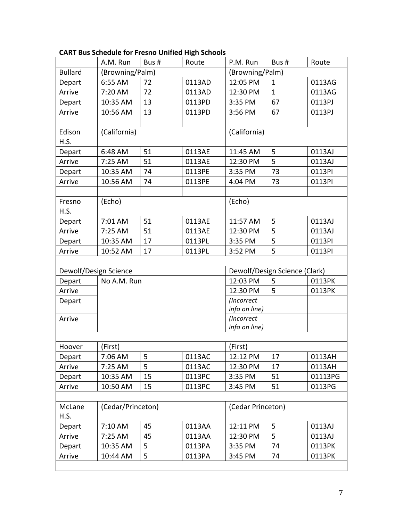|                       | A.M. Run          | Bus # | Route  | P.M. Run          | Bus#                          | Route   |
|-----------------------|-------------------|-------|--------|-------------------|-------------------------------|---------|
| <b>Bullard</b>        | (Browning/Palm)   |       |        | (Browning/Palm)   |                               |         |
| Depart                | 6:55 AM           | 72    | 0113AD | 12:05 PM          | $\mathbf{1}$                  | 0113AG  |
| Arrive                | 7:20 AM           | 72    | 0113AD | 12:30 PM          | $\mathbf{1}$                  | 0113AG  |
| Depart                | 10:35 AM          | 13    | 0113PD | 3:35 PM           | 67                            | 0113PJ  |
| Arrive                | 10:56 AM          | 13    | 0113PD | 3:56 PM           | 67                            | 0113PJ  |
|                       |                   |       |        |                   |                               |         |
| Edison<br>H.S.        | (California)      |       |        | (California)      |                               |         |
| Depart                | 6:48 AM           | 51    | 0113AE | 11:45 AM          | 5                             | 0113AJ  |
| Arrive                | 7:25 AM           | 51    | 0113AE | 12:30 PM          | 5                             | 0113AJ  |
| Depart                | 10:35 AM          | 74    | 0113PE | 3:35 PM           | 73                            | 0113PI  |
| Arrive                | 10:56 AM          | 74    | 0113PE | 4:04 PM           | 73                            | 0113PI  |
|                       |                   |       |        |                   |                               |         |
| Fresno<br>H.S.        | (Echo)            |       |        | (Echo)            |                               |         |
| Depart                | 7:01 AM           | 51    | 0113AE | 11:57 AM          | 5                             | 0113AJ  |
| Arrive                | 7:25 AM           | 51    | 0113AE | 12:30 PM          | 5                             | 0113AJ  |
| Depart                | 10:35 AM          | 17    | 0113PL | 3:35 PM           | 5                             | 0113PI  |
| Arrive                | 10:52 AM          | 17    | 0113PL | 3:52 PM           | 5                             | 0113PI  |
|                       |                   |       |        |                   |                               |         |
| Dewolf/Design Science |                   |       |        |                   | Dewolf/Design Science (Clark) |         |
| Depart                | No A.M. Run       |       |        | 12:03 PM          | 5                             | 0113PK  |
| Arrive                |                   |       |        | 12:30 PM          | 5                             | 0113PK  |
| Depart                |                   |       |        | (Incorrect        |                               |         |
|                       |                   |       |        | info on line)     |                               |         |
| Arrive                |                   |       |        | (Incorrect        |                               |         |
|                       |                   |       |        | info on line)     |                               |         |
| Hoover                | (First)           |       |        | (First)           |                               |         |
| Depart                | 7:06 AM           | 5     | 0113AC | 12:12 PM          | 17                            | 0113AH  |
| Arrive                | 7:25 AM           | 5     | 0113AC | 12:30 PM          | 17                            | 0113AH  |
| Depart                | 10:35 AM          | 15    | 0113PC | 3:35 PM           | 51                            | 01113PG |
| Arrive                | 10:50 AM          | 15    | 0113PC | 3:45 PM           | 51                            | 0113PG  |
|                       |                   |       |        |                   |                               |         |
| McLane<br>H.S.        | (Cedar/Princeton) |       |        | (Cedar Princeton) |                               |         |
| Depart                | 7:10 AM           | 45    | 0113AA | 12:11 PM          | 5                             | 0113AJ  |
| Arrive                | 7:25 AM           | 45    | 0113AA | 12:30 PM          | 5                             | 0113AJ  |
| Depart                | 10:35 AM          | 5     | 0113PA | 3:35 PM           | 74                            | 0113PK  |
| Arrive                | 10:44 AM          | 5     | 0113PA | 3:45 PM           | 74                            | 0113PK  |
|                       |                   |       |        |                   |                               |         |

# **CART Bus Schedule for Fresno Unified High Schools**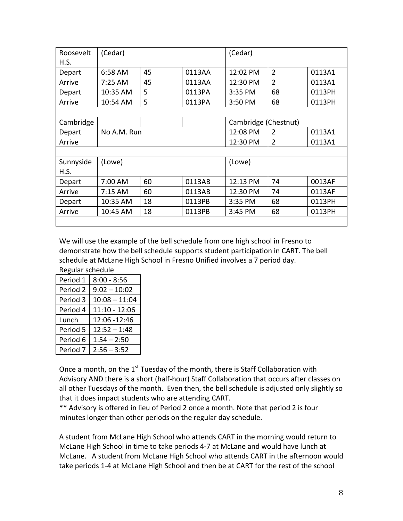| Roosevelt | (Cedar)     |    |        | (Cedar)              |                |        |
|-----------|-------------|----|--------|----------------------|----------------|--------|
| H.S.      |             |    |        |                      |                |        |
| Depart    | 6:58 AM     | 45 | 0113AA | 12:02 PM             | $\overline{2}$ | 0113A1 |
| Arrive    | $7:25$ AM   | 45 | 0113AA | 12:30 PM             | $\overline{2}$ | 0113A1 |
| Depart    | 10:35 AM    | 5  | 0113PA | 3:35 PM              | 68             | 0113PH |
| Arrive    | 10:54 AM    | 5  | 0113PA | 3:50 PM              | 68             | 0113PH |
|           |             |    |        |                      |                |        |
| Cambridge |             |    |        | Cambridge (Chestnut) |                |        |
| Depart    | No A.M. Run |    |        | 12:08 PM             | $\overline{2}$ | 0113A1 |
| Arrive    |             |    |        | 12:30 PM             | $\overline{2}$ | 0113A1 |
|           |             |    |        |                      |                |        |
| Sunnyside | (Lowe)      |    |        | (Lowe)               |                |        |
| H.S.      |             |    |        |                      |                |        |
| Depart    | 7:00 AM     | 60 | 0113AB | 12:13 PM             | 74             | 0013AF |
| Arrive    | 7:15 AM     | 60 | 0113AB | 12:30 PM             | 74             | 0113AF |
| Depart    | 10:35 AM    | 18 | 0113PB | 3:35 PM              | 68             | 0113PH |
| Arrive    | 10:45 AM    | 18 | 0113PB | 3:45 PM              | 68             | 0113PH |
|           |             |    |        |                      |                |        |

We will use the example of the bell schedule from one high school in Fresno to demonstrate how the bell schedule supports student participation in CART. The bell schedule at McLane High School in Fresno Unified involves a 7 period day. Regular schedule

| Period 1            | $8:00 - 8:56$   |
|---------------------|-----------------|
| Period 2            | $9:02 - 10:02$  |
| Period 3            | $10:08 - 11:04$ |
| Period 4            | 11:10 - 12:06   |
| Lunch               | 12:06 - 12:46   |
| Period 5            | $12:52 - 1:48$  |
| Period 6            | $1:54 - 2:50$   |
| Period <sub>7</sub> | $2:56 - 3:52$   |

Once a month, on the 1<sup>st</sup> Tuesday of the month, there is Staff Collaboration with Advisory AND there is a short (half-hour) Staff Collaboration that occurs after classes on all other Tuesdays of the month. Even then, the bell schedule is adjusted only slightly so that it does impact students who are attending CART.

\*\* Advisory is offered in lieu of Period 2 once a month. Note that period 2 is four minutes longer than other periods on the regular day schedule.

A student from McLane High School who attends CART in the morning would return to McLane High School in time to take periods 4-7 at McLane and would have lunch at McLane. A student from McLane High School who attends CART in the afternoon would take periods 1-4 at McLane High School and then be at CART for the rest of the school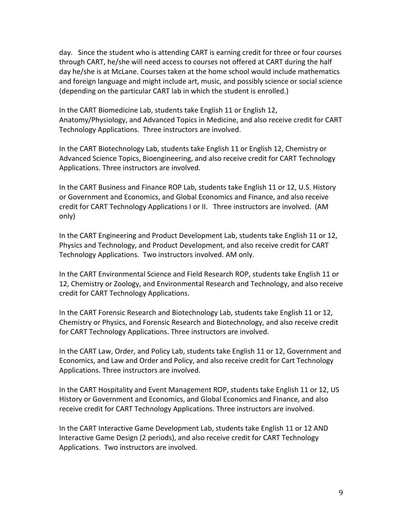day. Since the student who is attending CART is earning credit for three or four courses through CART, he/she will need access to courses not offered at CART during the half day he/she is at McLane. Courses taken at the home school would include mathematics and foreign language and might include art, music, and possibly science or social science (depending on the particular CART lab in which the student is enrolled.)

In the CART Biomedicine Lab, students take English 11 or English 12, Anatomy/Physiology, and Advanced Topics in Medicine, and also receive credit for CART Technology Applications. Three instructors are involved.

In the CART Biotechnology Lab, students take English 11 or English 12, Chemistry or Advanced Science Topics, Bioengineering, and also receive credit for CART Technology Applications. Three instructors are involved.

In the CART Business and Finance ROP Lab, students take English 11 or 12, U.S. History or Government and Economics, and Global Economics and Finance, and also receive credit for CART Technology Applications I or II. Three instructors are involved. (AM only)

In the CART Engineering and Product Development Lab, students take English 11 or 12, Physics and Technology, and Product Development, and also receive credit for CART Technology Applications. Two instructors involved. AM only.

In the CART Environmental Science and Field Research ROP, students take English 11 or 12, Chemistry or Zoology, and Environmental Research and Technology, and also receive credit for CART Technology Applications.

In the CART Forensic Research and Biotechnology Lab, students take English 11 or 12, Chemistry or Physics, and Forensic Research and Biotechnology, and also receive credit for CART Technology Applications. Three instructors are involved.

In the CART Law, Order, and Policy Lab, students take English 11 or 12, Government and Economics, and Law and Order and Policy, and also receive credit for Cart Technology Applications. Three instructors are involved.

In the CART Hospitality and Event Management ROP, students take English 11 or 12, US History or Government and Economics, and Global Economics and Finance, and also receive credit for CART Technology Applications. Three instructors are involved.

In the CART Interactive Game Development Lab, students take English 11 or 12 AND Interactive Game Design (2 periods), and also receive credit for CART Technology Applications. Two instructors are involved.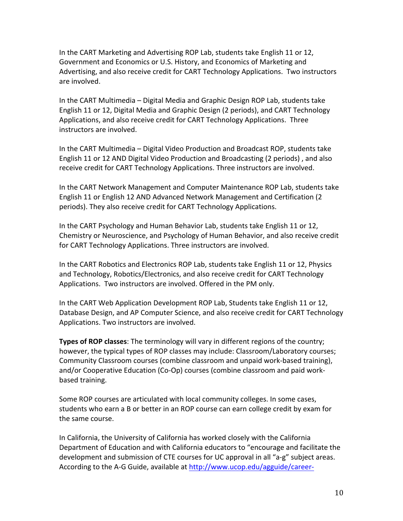In the CART Marketing and Advertising ROP Lab, students take English 11 or 12, Government and Economics or U.S. History, and Economics of Marketing and Advertising, and also receive credit for CART Technology Applications. Two instructors are involved.

In the CART Multimedia – Digital Media and Graphic Design ROP Lab, students take English 11 or 12, Digital Media and Graphic Design (2 periods), and CART Technology Applications, and also receive credit for CART Technology Applications. Three instructors are involved.

In the CART Multimedia – Digital Video Production and Broadcast ROP, students take English 11 or 12 AND Digital Video Production and Broadcasting (2 periods), and also receive credit for CART Technology Applications. Three instructors are involved.

In the CART Network Management and Computer Maintenance ROP Lab, students take English 11 or English 12 AND Advanced Network Management and Certification (2) periods). They also receive credit for CART Technology Applications.

In the CART Psychology and Human Behavior Lab, students take English 11 or 12, Chemistry or Neuroscience, and Psychology of Human Behavior, and also receive credit for CART Technology Applications. Three instructors are involved.

In the CART Robotics and Electronics ROP Lab, students take English 11 or 12, Physics and Technology, Robotics/Electronics, and also receive credit for CART Technology Applications. Two instructors are involved. Offered in the PM only.

In the CART Web Application Development ROP Lab, Students take English 11 or 12, Database Design, and AP Computer Science, and also receive credit for CART Technology Applications. Two instructors are involved.

**Types of ROP classes:** The terminology will vary in different regions of the country; however, the typical types of ROP classes may include: Classroom/Laboratory courses; Community Classroom courses (combine classroom and unpaid work-based training), and/or Cooperative Education (Co-Op) courses (combine classroom and paid workbased training.

Some ROP courses are articulated with local community colleges. In some cases, students who earn a B or better in an ROP course can earn college credit by exam for the same course.

In California, the University of California has worked closely with the California Department of Education and with California educators to "encourage and facilitate the development and submission of CTE courses for UC approval in all "a-g" subject areas. According to the A-G Guide, available at http://www.ucop.edu/agguide/career-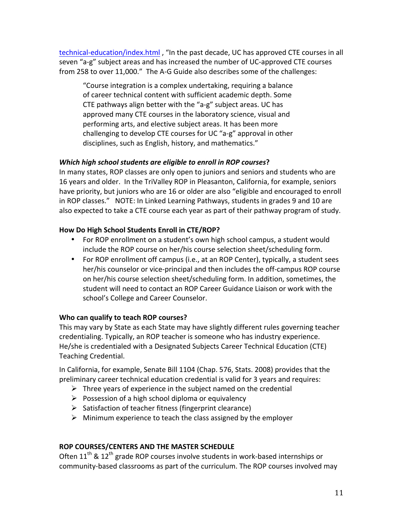technical-education/index.html, "In the past decade, UC has approved CTE courses in all seven "a-g" subject areas and has increased the number of UC-approved CTE courses from 258 to over 11,000." The A-G Guide also describes some of the challenges:

"Course integration is a complex undertaking, requiring a balance of career technical content with sufficient academic depth. Some CTE pathways align better with the "a-g" subject areas. UC has approved many CTE courses in the laboratory science, visual and performing arts, and elective subject areas. It has been more challenging to develop CTE courses for UC "a-g" approval in other disciplines, such as English, history, and mathematics."

#### *Which high school students are eligible to enroll in ROP courses?*

In many states, ROP classes are only open to juniors and seniors and students who are 16 years and older. In the TriValley ROP in Pleasanton, California, for example, seniors have priority, but juniors who are 16 or older are also "eligible and encouraged to enroll in ROP classes." NOTE: In Linked Learning Pathways, students in grades 9 and 10 are also expected to take a CTE course each year as part of their pathway program of study.

### How Do High School Students Enroll in CTE/ROP?

- For ROP enrollment on a student's own high school campus, a student would include the ROP course on her/his course selection sheet/scheduling form.
- For ROP enrollment off campus (i.e., at an ROP Center), typically, a student sees her/his counselor or vice-principal and then includes the off-campus ROP course on her/his course selection sheet/scheduling form. In addition, sometimes, the student will need to contact an ROP Career Guidance Liaison or work with the school's College and Career Counselor.

#### **Who can qualify to teach ROP courses?**

This may vary by State as each State may have slightly different rules governing teacher credentialing. Typically, an ROP teacher is someone who has industry experience. He/she is credentialed with a Designated Subjects Career Technical Education (CTE) Teaching Credential.

In California, for example, Senate Bill 1104 (Chap. 576, Stats. 2008) provides that the preliminary career technical education credential is valid for 3 years and requires:

- $\triangleright$  Three years of experience in the subject named on the credential
- $\triangleright$  Possession of a high school diploma or equivalency
- $\triangleright$  Satisfaction of teacher fitness (fingerprint clearance)
- $\triangleright$  Minimum experience to teach the class assigned by the employer

#### **ROP COURSES/CENTERS AND THE MASTER SCHEDULE**

Often  $11^{th}$  &  $12^{th}$  grade ROP courses involve students in work-based internships or community-based classrooms as part of the curriculum. The ROP courses involved may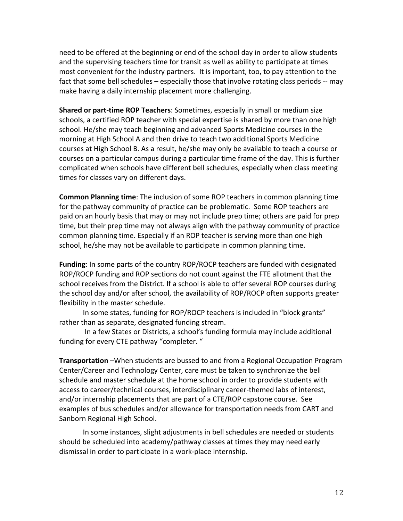need to be offered at the beginning or end of the school day in order to allow students and the supervising teachers time for transit as well as ability to participate at times most convenient for the industry partners. It is important, too, to pay attention to the fact that some bell schedules – especially those that involve rotating class periods  $-$  may make having a daily internship placement more challenging.

**Shared or part-time ROP Teachers**: Sometimes, especially in small or medium size schools, a certified ROP teacher with special expertise is shared by more than one high school. He/she may teach beginning and advanced Sports Medicine courses in the morning at High School A and then drive to teach two additional Sports Medicine courses at High School B. As a result, he/she may only be available to teach a course or courses on a particular campus during a particular time frame of the day. This is further complicated when schools have different bell schedules, especially when class meeting times for classes vary on different days.

**Common Planning time**: The inclusion of some ROP teachers in common planning time for the pathway community of practice can be problematic. Some ROP teachers are paid on an hourly basis that may or may not include prep time; others are paid for prep time, but their prep time may not always align with the pathway community of practice common planning time. Especially if an ROP teacher is serving more than one high school, he/she may not be available to participate in common planning time.

**Funding**: In some parts of the country ROP/ROCP teachers are funded with designated ROP/ROCP funding and ROP sections do not count against the FTE allotment that the school receives from the District. If a school is able to offer several ROP courses during the school day and/or after school, the availability of ROP/ROCP often supports greater flexibility in the master schedule.

In some states, funding for ROP/ROCP teachers is included in "block grants" rather than as separate, designated funding stream.

In a few States or Districts, a school's funding formula may include additional funding for every CTE pathway "completer."

**Transportation** –When students are bussed to and from a Regional Occupation Program Center/Career and Technology Center, care must be taken to synchronize the bell schedule and master schedule at the home school in order to provide students with access to career/technical courses, interdisciplinary career-themed labs of interest, and/or internship placements that are part of a CTE/ROP capstone course. See examples of bus schedules and/or allowance for transportation needs from CART and Sanborn Regional High School.

In some instances, slight adjustments in bell schedules are needed or students should be scheduled into academy/pathway classes at times they may need early dismissal in order to participate in a work-place internship.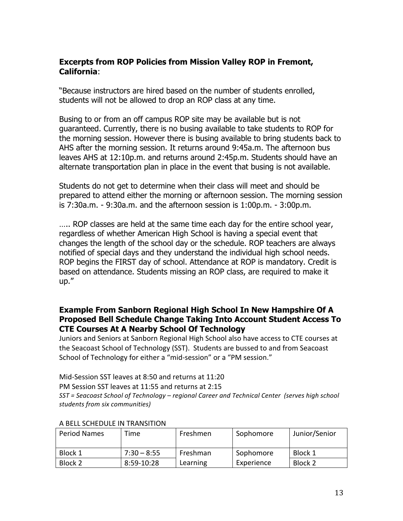# **Excerpts from ROP Policies from Mission Valley ROP in Fremont, California**:

"Because instructors are hired based on the number of students enrolled, students will not be allowed to drop an ROP class at any time.

Busing to or from an off campus ROP site may be available but is not guaranteed. Currently, there is no busing available to take students to ROP for the morning session. However there is busing available to bring students back to AHS after the morning session. It returns around 9:45a.m. The afternoon bus leaves AHS at 12:10p.m. and returns around 2:45p.m. Students should have an alternate transportation plan in place in the event that busing is not available.

Students do not get to determine when their class will meet and should be prepared to attend either the morning or afternoon session. The morning session is 7:30a.m. - 9:30a.m. and the afternoon session is 1:00p.m. - 3:00p.m.

….. ROP classes are held at the same time each day for the entire school year, regardless of whether American High School is having a special event that changes the length of the school day or the schedule. ROP teachers are always notified of special days and they understand the individual high school needs. ROP begins the FIRST day of school. Attendance at ROP is mandatory. Credit is based on attendance. Students missing an ROP class, are required to make it up."

## **Example From Sanborn Regional High School In New Hampshire Of A Proposed Bell Schedule Change Taking Into Account Student Access To CTE Courses At A Nearby School Of Technology**

Juniors and Seniors at Sanborn Regional High School also have access to CTE courses at the Seacoast School of Technology (SST). Students are bussed to and from Seacoast School of Technology for either a "mid-session" or a "PM session."

Mid-Session SST leaves at 8:50 and returns at 11:20

PM Session SST leaves at 11:55 and returns at 2:15

*SST)=)Seacoast)School)of)Technology)– regional)Career)and)Technical)Center))(serves)high)school) students)from)six)communities))*

| <b>Period Names</b> | Time.         | Freshmen | Sophomore  | Junior/Senior |
|---------------------|---------------|----------|------------|---------------|
| Block 1             | $7:30 - 8:55$ | Freshman | Sophomore  | Block 1       |
| Block 2             | $8:59-10:28$  | Learning | Experience | Block 2       |

#### A BELL SCHEDULE IN TRANSITION